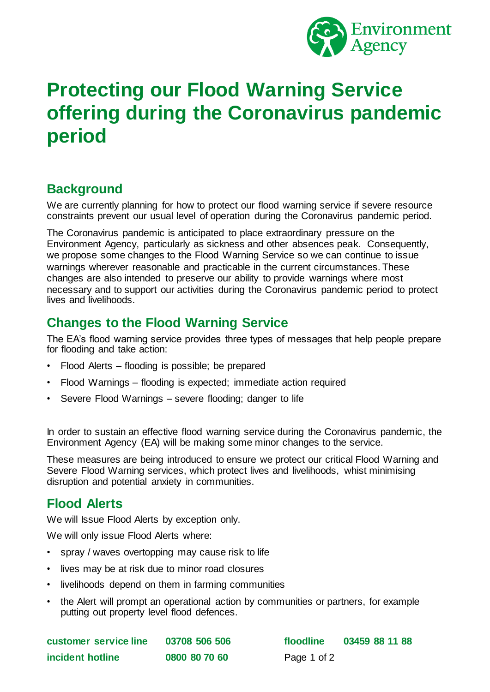

# **Protecting our Flood Warning Service offering during the Coronavirus pandemic period**

# **Background**

We are currently planning for how to protect our flood warning service if severe resource constraints prevent our usual level of operation during the Coronavirus pandemic period.

The Coronavirus pandemic is anticipated to place extraordinary pressure on the Environment Agency, particularly as sickness and other absences peak. Consequently, we propose some changes to the Flood Warning Service so we can continue to issue warnings wherever reasonable and practicable in the current circumstances. These changes are also intended to preserve our ability to provide warnings where most necessary and to support our activities during the Coronavirus pandemic period to protect lives and livelihoods.

# **Changes to the Flood Warning Service**

The EA's flood warning service provides three types of messages that help people prepare for flooding and take action:

- Flood Alerts flooding is possible; be prepared
- Flood Warnings flooding is expected; immediate action required
- Severe Flood Warnings severe flooding; danger to life

In order to sustain an effective flood warning service during the Coronavirus pandemic, the Environment Agency (EA) will be making some minor changes to the service.

These measures are being introduced to ensure we protect our critical Flood Warning and Severe Flood Warning services, which protect lives and livelihoods, whist minimising disruption and potential anxiety in communities.

### **Flood Alerts**

We will Issue Flood Alerts by exception only.

We will only issue Flood Alerts where:

- spray / waves overtopping may cause risk to life
- lives may be at risk due to minor road closures
- livelihoods depend on them in farming communities
- the Alert will prompt an operational action by communities or partners, for example putting out property level flood defences.

| customer service line | 03708 506 50  |
|-----------------------|---------------|
| incident hotline      | 0800 80 70 60 |

**customer service line 03708 506 506 floodline 03459 88 11 88** Page 1 of 2